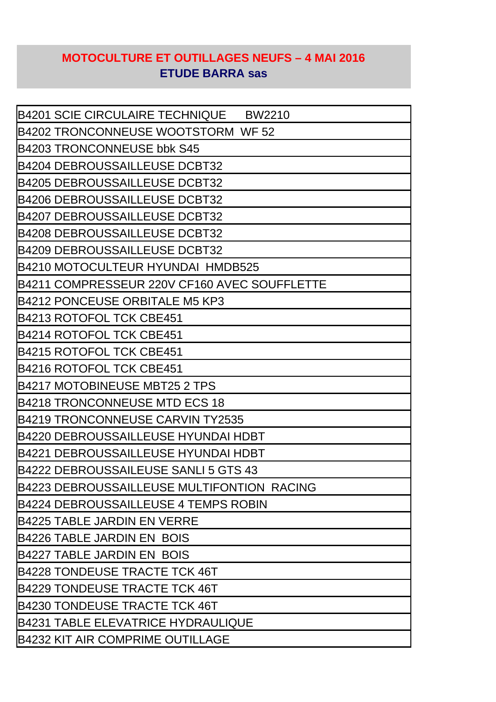## **MOTOCULTURE ET OUTILLAGES NEUFS – 4 MAI 2016 ETUDE BARRA sas**

| B4201 SCIE CIRCULAIRE TECHNIQUE<br><b>BW2210</b> |
|--------------------------------------------------|
| B4202 TRONCONNEUSE WOOTSTORM WF 52               |
| B4203 TRONCONNEUSE bbk S45                       |
| <b>B4204 DEBROUSSAILLEUSE DCBT32</b>             |
| <b>B4205 DEBROUSSAILLEUSE DCBT32</b>             |
| <b>B4206 DEBROUSSAILLEUSE DCBT32</b>             |
| <b>B4207 DEBROUSSAILLEUSE DCBT32</b>             |
| <b>B4208 DEBROUSSAILLEUSE DCBT32</b>             |
| <b>B4209 DEBROUSSAILLEUSE DCBT32</b>             |
| B4210 MOTOCULTEUR HYUNDAI HMDB525                |
| B4211 COMPRESSEUR 220V CF160 AVEC SOUFFLETTE     |
| <b>B4212 PONCEUSE ORBITALE M5 KP3</b>            |
| B4213 ROTOFOL TCK CBE451                         |
| B4214 ROTOFOL TCK CBE451                         |
| B4215 ROTOFOL TCK CBE451                         |
| B4216 ROTOFOL TCK CBE451                         |
| B4217 MOTOBINEUSE MBT25 2 TPS                    |
| B4218 TRONCONNEUSE MTD ECS 18                    |
| B4219 TRONCONNEUSE CARVIN TY2535                 |
| B4220 DEBROUSSAILLEUSE HYUNDAI HDBT              |
| B4221 DEBROUSSAILLEUSE HYUNDAI HDBT              |
| B4222 DEBROUSSAILEUSE SANLI 5 GTS 43             |
| B4223 DEBROUSSAILLEUSE MULTIFONTION RACING       |
| B4224 DEBROUSSAILLEUSE 4 TEMPS ROBIN             |
| <b>B4225 TABLE JARDIN EN VERRE</b>               |
| <b>B4226 TABLE JARDIN EN BOIS</b>                |
| <b>B4227 TABLE JARDIN EN BOIS</b>                |
| B4228 TONDEUSE TRACTE TCK 46T                    |
| B4229 TONDEUSE TRACTE TCK 46T                    |
| B4230 TONDEUSE TRACTE TCK 46T                    |
| B4231 TABLE ELEVATRICE HYDRAULIQUE               |
| <b>B4232 KIT AIR COMPRIME OUTILLAGE</b>          |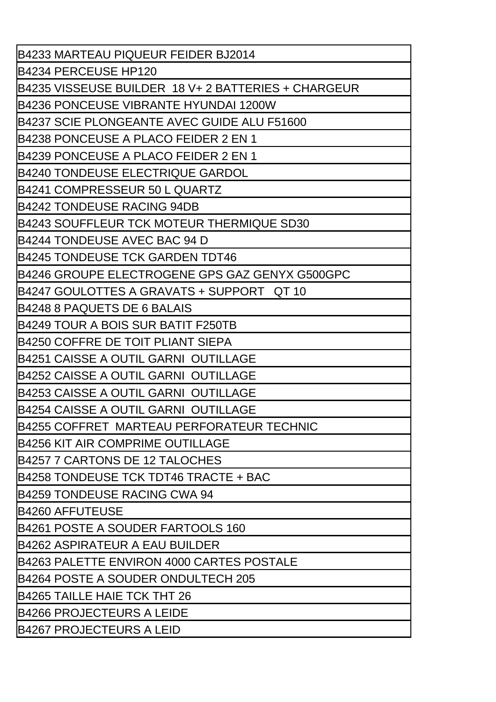| B4233 MARTEAU PIQUEUR FEIDER BJ2014                  |
|------------------------------------------------------|
| B4234 PERCEUSE HP120                                 |
| B4235 VISSEUSE BUILDER  18 V+ 2 BATTERIES + CHARGEUR |
| <b>B4236 PONCEUSE VIBRANTE HYUNDAI 1200W</b>         |
| B4237 SCIE PLONGEANTE AVEC GUIDE ALU F51600          |
| B4238 PONCEUSE A PLACO FEIDER 2 EN 1                 |
| B4239 PONCEUSE A PLACO FEIDER 2 EN 1                 |
| B4240 TONDEUSE ELECTRIQUE GARDOL                     |
| B4241 COMPRESSEUR 50 L QUARTZ                        |
| <b>B4242 TONDEUSE RACING 94DB</b>                    |
| B4243 SOUFFLEUR TCK MOTEUR THERMIQUE SD30            |
| B4244 TONDEUSE AVEC BAC 94 D                         |
| B4245 TONDEUSE TCK GARDEN TDT46                      |
| B4246 GROUPE ELECTROGENE GPS GAZ GENYX G500GPC       |
| B4247 GOULOTTES A GRAVATS + SUPPORT _QT 10           |
| B4248 8 PAQUETS DE 6 BALAIS                          |
| B4249 TOUR A BOIS SUR BATIT F250TB                   |
| <b>B4250 COFFRE DE TOIT PLIANT SIEPA</b>             |
| B4251 CAISSE A OUTIL GARNI  OUTILLAGE                |
| B4252 CAISSE A OUTIL GARNI OUTILLAGE                 |
| B4253 CAISSE A OUTIL GARNI  OUTILLAGE                |
| B4254 CAISSE A OUTIL GARNI OUTILLAGE                 |
| B4255 COFFRET MARTEAU PERFORATEUR TECHNIC            |
| B4256 KIT AIR COMPRIME OUTILLAGE                     |
| B4257 7 CARTONS DE 12 TALOCHES                       |
| B4258 TONDEUSE TCK TDT46 TRACTE + BAC                |
| B4259 TONDEUSE RACING CWA 94                         |
| <b>B4260 AFFUTEUSE</b>                               |
| B4261 POSTE A SOUDER FARTOOLS 160                    |
| B4262 ASPIRATEUR A EAU BUILDER                       |
| B4263 PALETTE ENVIRON 4000 CARTES POSTALE            |
| B4264 POSTE A SOUDER ONDULTECH 205                   |
| <b>B4265 TAILLE HAIE TCK THT 26</b>                  |
| B4266 PROJECTEURS A LEIDE                            |
| <b>B4267 PROJECTEURS A LEID</b>                      |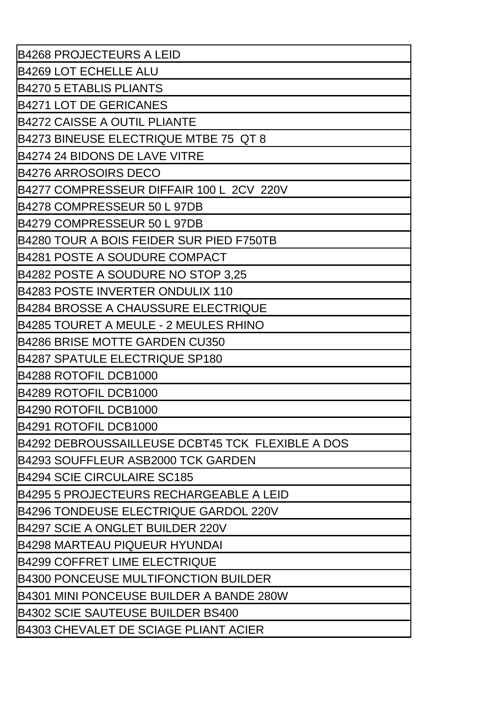| <b>B4268 PROJECTEURS A LEID</b>                  |
|--------------------------------------------------|
| <b>B4269 LOT ECHELLE ALU</b>                     |
| <b>B4270 5 ETABLIS PLIANTS</b>                   |
| <b>B4271 LOT DE GERICANES</b>                    |
| <b>B4272 CAISSE A OUTIL PLIANTE</b>              |
| B4273 BINEUSE ELECTRIQUE MTBE 75 QT 8            |
| <b>B4274 24 BIDONS DE LAVE VITRE</b>             |
| <b>B4276 ARROSOIRS DECO</b>                      |
| B4277 COMPRESSEUR DIFFAIR 100 L 2CV 220V         |
| B4278 COMPRESSEUR 50 L 97DB                      |
| B4279 COMPRESSEUR 50 L 97DB                      |
| <b>B4280 TOUR A BOIS FEIDER SUR PIED F750TB</b>  |
| <b>B4281 POSTE A SOUDURE COMPACT</b>             |
| B4282 POSTE A SOUDURE NO STOP 3,25               |
| <b>B4283 POSTE INVERTER ONDULIX 110</b>          |
| B4284 BROSSE A CHAUSSURE ELECTRIQUE              |
| B4285 TOURET A MEULE - 2 MEULES RHINO            |
| <b>B4286 BRISE MOTTE GARDEN CU350</b>            |
| <b>B4287 SPATULE ELECTRIQUE SP180</b>            |
| B4288 ROTOFIL DCB1000                            |
| B4289 ROTOFIL DCB1000                            |
| B4290 ROTOFIL DCB1000                            |
| B4291 ROTOFIL DCB1000                            |
| B4292 DEBROUSSAILLEUSE DCBT45 TCK FLEXIBLE A DOS |
| B4293 SOUFFLEUR ASB2000 TCK GARDEN               |
| <b>B4294 SCIE CIRCULAIRE SC185</b>               |
| B4295  5  PROJECTEURS RECHARGEABLE A LEID        |
| B4296 TONDEUSE ELECTRIQUE GARDOL 220V            |
| B4297 SCIE A ONGLET BUILDER 220V                 |
| <b>B4298 MARTEAU PIQUEUR HYUNDAI</b>             |
| B4299 COFFRET LIME ELECTRIQUE                    |
| B4300 PONCEUSE MULTIFONCTION BUILDER             |
| B4301 MINI PONCEUSE BUILDER A BANDE 280W         |
| <b>B4302 SCIE SAUTEUSE BUILDER BS400</b>         |
| <b>B4303 CHEVALET DE SCIAGE PLIANT ACIER</b>     |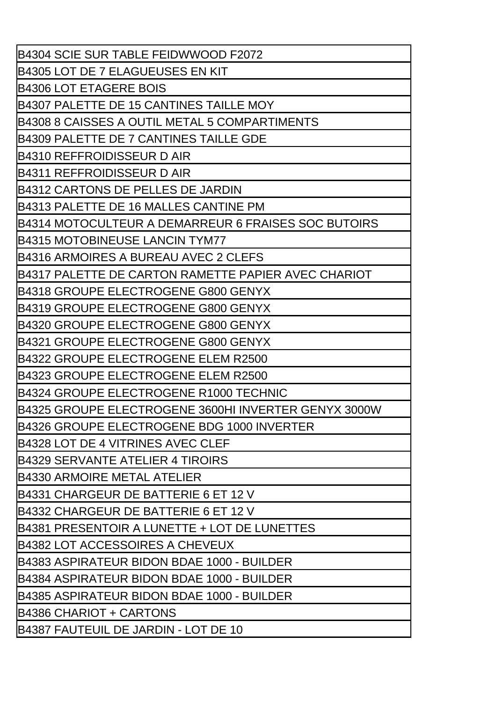| <b>B4304 SCIE SUR TABLE FEIDWWOOD F2072</b>          |
|------------------------------------------------------|
| B4305 LOT DE 7 ELAGUEUSES EN KIT                     |
| <b>B4306 LOT ETAGERE BOIS</b>                        |
| B4307 PALETTE DE 15 CANTINES TAILLE MOY              |
| IB4308 8 CAISSES A OUTIL METAL 5 COMPARTIMENTS       |
| IB4309 PALETTE DE 7 CANTINES TAILLE GDE              |
| lB4310 REFFROIDISSEUR D AIR                          |
| IB4311 REFFROIDISSEUR D AIR                          |
| B4312 CARTONS DE PELLES DE JARDIN                    |
| B4313 PALETTE DE 16 MALLES CANTINE PM                |
| B4314 MOTOCULTEUR A DEMARREUR 6 FRAISES SOC BUTOIRS  |
| B4315 MOTOBINEUSE LANCIN TYM77                       |
| lB4316 ARMOIRES A BUREAU AVEC 2 CLEFS                |
| IB4317 PALETTE DE CARTON RAMETTE PAPIER AVEC CHARIOT |
| lB4318 GROUPE ELECTROGENE G800 GENYX                 |
| IB4319 GROUPE ELECTROGENE G800 GENYX                 |
| IB4320 GROUPE ELECTROGENE G800 GENYX                 |
| B4321 GROUPE ELECTROGENE G800 GENYX                  |
| IB4322 GROUPE ELECTROGENE ELEM R2500                 |
| B4323 GROUPE ELECTROGENE ELEM R2500                  |
| B4324 GROUPE ELECTROGENE R1000 TECHNIC               |
| B4325 GROUPE ELECTROGENE 3600HI INVERTER GENYX 3000W |
| B4326 GROUPE ELECTROGENE BDG 1000 INVERTER           |
| B4328 LOT DE 4 VITRINES AVEC CLEF                    |
| B4329 SERVANTE ATELIER 4 TIROIRS                     |
| <b>B4330 ARMOIRE METAL ATELIER</b>                   |
| B4331 CHARGEUR DE BATTERIE 6 ET 12 V                 |
| lB4332 CHARGEUR DE BATTERIE 6 ET 12 V                |
| B4381 PRESENTOIR A LUNETTE + LOT DE LUNETTES         |
| B4382 LOT ACCESSOIRES A CHEVEUX                      |
| IB4383 ASPIRATEUR BIDON BDAE 1000 - BUILDER          |
| lB4384 ASPIRATEUR BIDON BDAE 1000 - BUILDER          |
| B4385 ASPIRATEUR BIDON BDAE 1000 - BUILDER           |
| <b>B4386 CHARIOT + CARTONS</b>                       |
| B4387 FAUTEUIL DE JARDIN - LOT DE 10                 |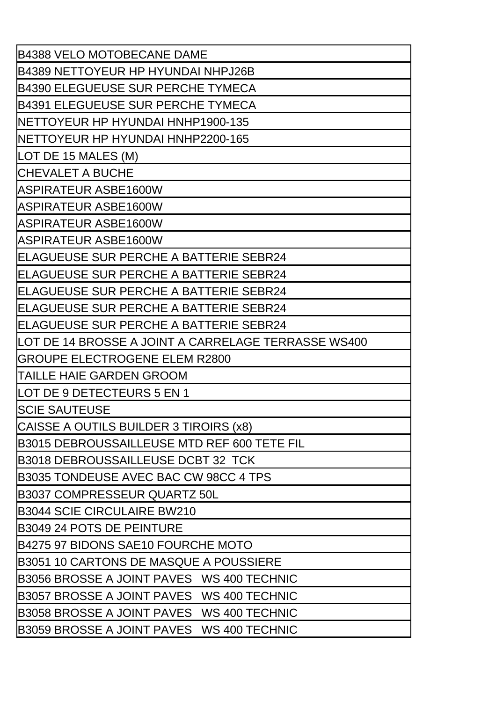| <b>B4388 VELO MOTOBECANE DAME</b>                   |
|-----------------------------------------------------|
| B4389 NETTOYEUR HP HYUNDAI NHPJ26B                  |
| B4390 ELEGUEUSE SUR PERCHE TYMECA                   |
| B4391 ELEGUEUSE SUR PERCHE TYMECA                   |
| NETTOYEUR HP HYUNDAI HNHP1900-135                   |
| NETTOYEUR HP HYUNDAI HNHP2200-165                   |
| LOT DE 15 MALES (M)                                 |
| <b>CHEVALET A BUCHE</b>                             |
| ASPIRATEUR ASBE1600W                                |
| ASPIRATEUR ASBE1600W                                |
| ASPIRATEUR ASBE1600W                                |
| ASPIRATEUR ASBE1600W                                |
| <b>ELAGUEUSE SUR PERCHE A BATTERIE SEBR24</b>       |
| <b>ELAGUEUSE SUR PERCHE A BATTERIE SEBR24</b>       |
| ELAGUEUSE SUR PERCHE A BATTERIE SEBR24              |
| ELAGUEUSE SUR PERCHE A BATTERIE SEBR24              |
| ELAGUEUSE SUR PERCHE A BATTERIE SEBR24              |
| LOT DE 14 BROSSE A JOINT A CARRELAGE TERRASSE WS400 |
| <b>GROUPE ELECTROGENE ELEM R2800</b>                |
| TAILLE HAIE GARDEN GROOM                            |
| LOT DE 9 DETECTEURS 5 EN 1                          |
| <b>SCIE SAUTEUSE</b>                                |
| CAISSE A OUTILS BUILDER 3 TIROIRS (x8)              |
| B3015 DEBROUSSAILLEUSE MTD REF 600 TETE FIL         |
| B3018 DEBROUSSAILLEUSE DCBT 32 TCK                  |
| B3035 TONDEUSE AVEC BAC CW 98CC 4 TPS               |
| <b>B3037 COMPRESSEUR QUARTZ 50L</b>                 |
| <b>B3044 SCIE CIRCULAIRE BW210</b>                  |
| B3049 24 POTS DE PEINTURE                           |
| B4275 97 BIDONS SAE10 FOURCHE MOTO                  |
| <b>B3051 10 CARTONS DE MASQUE A POUSSIERE</b>       |
| B3056 BROSSE A JOINT PAVES WS 400 TECHNIC           |
| B3057 BROSSE A JOINT PAVES WS 400 TECHNIC           |
| B3058 BROSSE A JOINT PAVES WS 400 TECHNIC           |
| B3059 BROSSE A JOINT PAVES WS 400 TECHNIC           |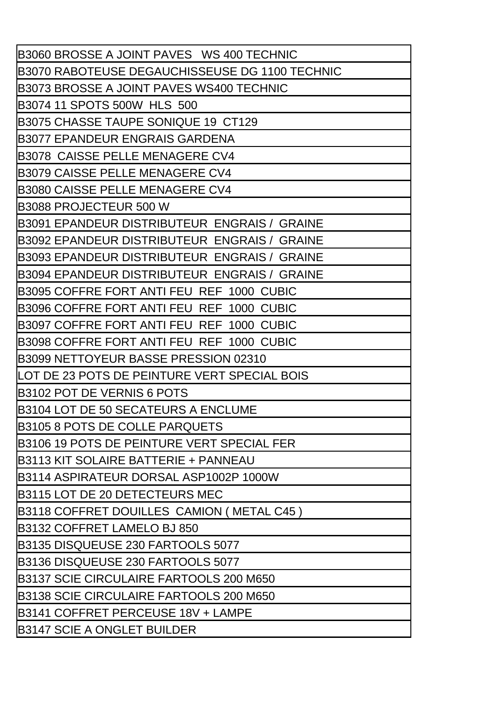| B3060 BROSSE A JOINT PAVES WS 400 TECHNIC      |
|------------------------------------------------|
| B3070 RABOTEUSE DEGAUCHISSEUSE DG 1100 TECHNIC |
| B3073 BROSSE A JOINT PAVES WS400 TECHNIC       |
| B3074 11 SPOTS 500W HLS 500                    |
| B3075 CHASSE TAUPE SONIQUE 19 CT129            |
| <b>IB3077 EPANDEUR ENGRAIS GARDENA</b>         |
| IB3078 CAISSE PELLE MENAGERE CV4               |
| <b>IB3079 CAISSE PELLE MENAGERE CV4</b>        |
| B3080 CAISSE PELLE MENAGERE CV4                |
| B3088 PROJECTEUR 500 W                         |
| B3091 EPANDEUR DISTRIBUTEUR ENGRAIS / GRAINE   |
| B3092 EPANDEUR DISTRIBUTEUR ENGRAIS / GRAINE   |
| B3093 EPANDEUR DISTRIBUTEUR ENGRAIS / GRAINE   |
| B3094 EPANDEUR DISTRIBUTEUR ENGRAIS / GRAINE   |
| B3095 COFFRE FORT ANTI FEU REF 1000 CUBIC      |
| B3096 COFFRE FORT ANTI FEU REF 1000 CUBIC      |
| B3097 COFFRE FORT ANTI FEU REF 1000 CUBIC      |
| B3098 COFFRE FORT ANTI FEU REF 1000 CUBIC      |
| B3099 NETTOYEUR BASSE PRESSION 02310           |
| LOT DE 23 POTS DE PEINTURE VERT SPECIAL BOIS   |
| B3102 POT DE VERNIS 6 POTS                     |
| <b>IB3104 LOT DE 50 SECATEURS A ENCLUME</b>    |
| <b>B3105 8 POTS DE COLLE PARQUETS</b>          |
| B3106 19 POTS DE PEINTURE VERT SPECIAL FER     |
| 1B3113 KIT SOLAIRE BATTERIE + PANNEAU          |
| B3114 ASPIRATEUR DORSAL ASP1002P 1000W         |
| B3115 LOT DE 20 DETECTEURS MEC                 |
| B3118 COFFRET DOUILLES CAMION (METAL C45 )     |
| B3132 COFFRET LAMELO BJ 850                    |
| B3135 DISQUEUSE 230 FARTOOLS 5077              |
| B3136 DISQUEUSE 230 FARTOOLS 5077              |
| B3137 SCIE CIRCULAIRE FARTOOLS 200 M650        |
| B3138 SCIE CIRCULAIRE FARTOOLS 200 M650        |
| B3141 COFFRET PERCEUSE 18V + LAMPE             |
| <b>B3147 SCIE A ONGLET BUILDER</b>             |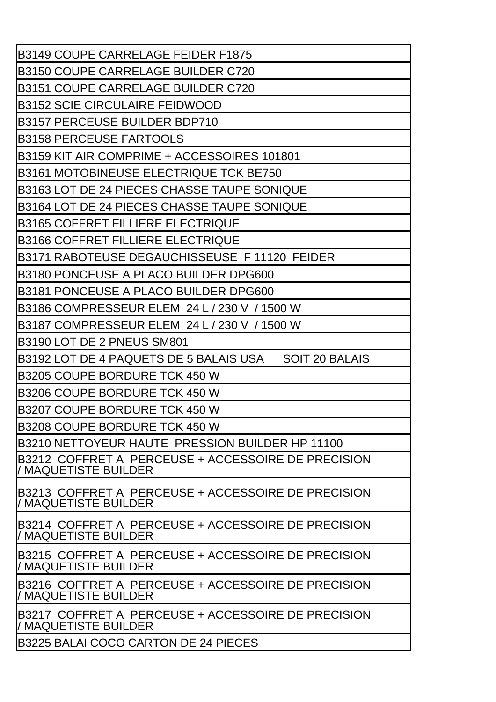| <b>B3149 COUPE CARRELAGE FEIDER F1875</b>                                  |
|----------------------------------------------------------------------------|
| <b>B3150 COUPE CARRELAGE BUILDER C720</b>                                  |
| <b>B3151 COUPE CARRELAGE BUILDER C720</b>                                  |
| <b>B3152 SCIE CIRCULAIRE FEIDWOOD</b>                                      |
| B3157 PERCEUSE BUILDER BDP710                                              |
| <b>B3158 PERCEUSE FARTOOLS</b>                                             |
| B3159 KIT AIR COMPRIME + ACCESSOIRES 101801                                |
| B3161 MOTOBINEUSE ELECTRIQUE TCK BE750                                     |
| B3163 LOT DE 24 PIECES CHASSE TAUPE SONIQUE                                |
| B3164 LOT DE 24 PIECES CHASSE TAUPE SONIQUE                                |
| B3165 COFFRET FILLIERE ELECTRIQUE                                          |
| B3166 COFFRET FILLIERE ELECTRIQUE                                          |
| B3171 RABOTEUSE DEGAUCHISSEUSE F 11120 FEIDER                              |
| B3180 PONCEUSE A PLACO BUILDER DPG600                                      |
| B3181 PONCEUSE A PLACO BUILDER DPG600                                      |
| B3186 COMPRESSEUR ELEM 24 L / 230 V / 1500 W                               |
| B3187 COMPRESSEUR ELEM 24 L / 230 V / 1500 W                               |
| <b>B3190 LOT DE 2 PNEUS SM801</b>                                          |
| B3192 LOT DE 4 PAQUETS DE 5 BALAIS USA<br><b>SOIT 20 BALAIS</b>            |
| B3205 COUPE BORDURE TCK 450 W                                              |
| B3206 COUPE BORDURE TCK 450 W                                              |
| B3207 COUPE BORDURE TCK 450 W                                              |
| B3208 COUPE BORDURE TCK 450 W                                              |
| B3210 NETTOYEUR HAUTE PRESSION BUILDER HP 11100                            |
| B3212 COFFRET A PERCEUSE + ACCESSOIRE DE PRECISION<br>/ MAQUETISTE BUILDER |
| B3213 COFFRET A PERCEUSE + ACCESSOIRE DE PRECISION<br>/ MAQUETISTE BUILDER |
| B3214 COFFRET A PERCEUSE + ACCESSOIRE DE PRECISION<br>/ MAQUETISTE BUILDER |
| B3215 COFFRET A PERCEUSE + ACCESSOIRE DE PRECISION<br>/ MAQUETISTE BUILDER |
| B3216 COFFRET A PERCEUSE + ACCESSOIRE DE PRECISION<br>/ MAQUETISTE BUILDER |
| B3217_COFFRET A_PERCEUSE + ACCESSOIRE DE PRECISION<br>/ MAQUETISTE BUILDER |
| <b>B3225 BALAI COCO CARTON DE 24 PIECES</b>                                |